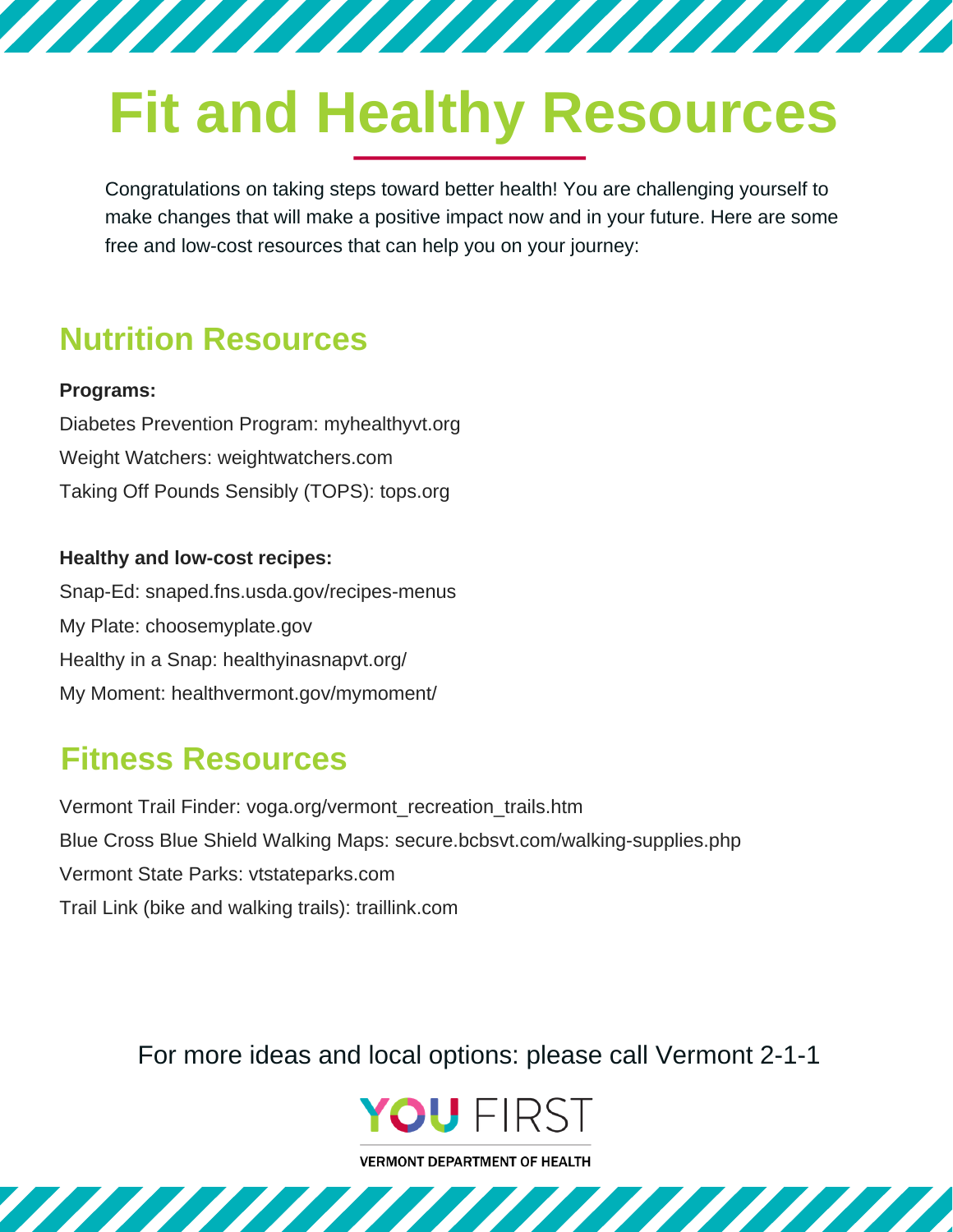# **Fit and Healthy Resources**

777777777777777777777777

Congratulations on taking steps toward better health! You are challenging yourself to make changes that will make a positive impact now and in your future. Here are some free and low-cost resources that can help you on your journey:

## **Nutrition Resources**

#### **Programs:**

Diabetes Prevention Program: myhealthyvt.org Weight Watchers: weightwatchers.com Taking Off Pounds Sensibly (TOPS): tops.org

#### **Healthy and low-cost recipes:**

Snap-Ed: snaped.fns.usda.gov/recipes-menus My Plate: choosemyplate.gov Healthy in a Snap: healthyinasnapvt.org/ My Moment: healthvermont.gov/mymoment/

### **Fitness Resources**

Trail Link (bike and walking trails): traillink.com Vermont Trail Finder: voga.org/vermont\_recreation\_trails.htm Blue Cross Blue Shield Walking Maps: secure.bcbsvt.com/walking-supplies.php Vermont State Parks: vtstateparks.com

For more ideas and local options: please call Vermont 2-1-1



**VERMONT DEPARTMENT OF HEALTH**